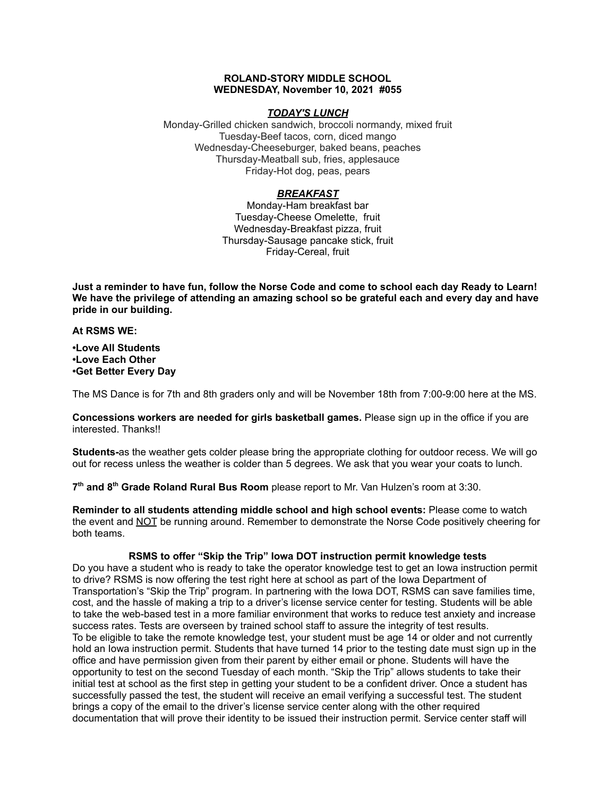## **ROLAND-STORY MIDDLE SCHOOL WEDNESDAY, November 10, 2021 #055**

## *TODAY'S LUNCH*

Monday-Grilled chicken sandwich, broccoli normandy, mixed fruit Tuesday-Beef tacos, corn, diced mango Wednesday-Cheeseburger, baked beans, peaches Thursday-Meatball sub, fries, applesauce Friday-Hot dog, peas, pears

# *BREAKFAST*

Monday-Ham breakfast bar Tuesday-Cheese Omelette, fruit Wednesday-Breakfast pizza, fruit Thursday-Sausage pancake stick, fruit Friday-Cereal, fruit

Just a reminder to have fun, follow the Norse Code and come to school each day Ready to Learn! **We have the privilege of attending an amazing school so be grateful each and every day and have pride in our building.**

**At RSMS WE:**

**•Love All Students •Love Each Other •Get Better Every Day**

The MS Dance is for 7th and 8th graders only and will be November 18th from 7:00-9:00 here at the MS.

**Concessions workers are needed for girls basketball games.** Please sign up in the office if you are interested. Thanks!!

**Students-**as the weather gets colder please bring the appropriate clothing for outdoor recess. We will go out for recess unless the weather is colder than 5 degrees. We ask that you wear your coats to lunch.

**7 th and 8 th Grade Roland Rural Bus Room** please report to Mr. Van Hulzen's room at 3:30.

**Reminder to all students attending middle school and high school events:** Please come to watch the event and NOT be running around. Remember to demonstrate the Norse Code positively cheering for both teams.

#### **RSMS to offer "Skip the Trip" Iowa DOT instruction permit knowledge tests**

Do you have a student who is ready to take the operator knowledge test to get an Iowa instruction permit to drive? RSMS is now offering the test right here at school as part of the Iowa Department of Transportation's "Skip the Trip" program. In partnering with the Iowa DOT, RSMS can save families time, cost, and the hassle of making a trip to a driver's license service center for testing. Students will be able to take the web-based test in a more familiar environment that works to reduce test anxiety and increase success rates. Tests are overseen by trained school staff to assure the integrity of test results. To be eligible to take the remote knowledge test, your student must be age 14 or older and not currently hold an Iowa instruction permit. Students that have turned 14 prior to the testing date must sign up in the office and have permission given from their parent by either email or phone. Students will have the opportunity to test on the second Tuesday of each month. "Skip the Trip" allows students to take their initial test at school as the first step in getting your student to be a confident driver. Once a student has successfully passed the test, the student will receive an email verifying a successful test. The student brings a copy of the email to the driver's license service center along with the other required documentation that will prove their identity to be issued their instruction permit. Service center staff will